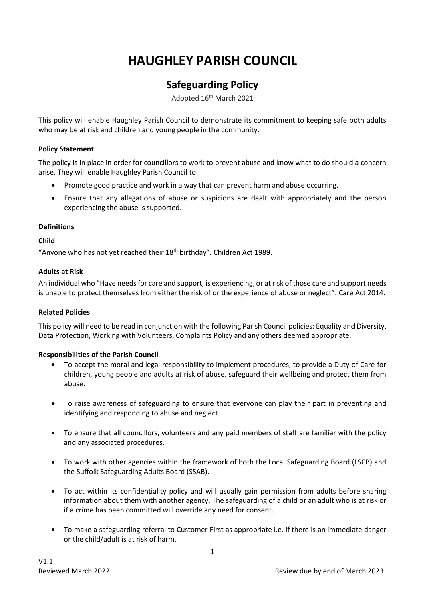# **HAUGHLEY PARISH COUNCIL**

# **Safeguarding Policy**

Adopted 16th March 2021

This policy will enable Haughley Parish Council to demonstrate its commitment to keeping safe both adults who may be at risk and children and young people in the community.

# **Policy Statement**

The policy is in place in order for councillors to work to prevent abuse and know what to do should a concern arise. They will enable Haughley Parish Council to:

- Promote good practice and work in a way that can prevent harm and abuse occurring.
- Ensure that any allegations of abuse or suspicions are dealt with appropriately and the person experiencing the abuse is supported.

# **Definitions**

**Child**

"Anyone who has not yet reached their 18<sup>th</sup> birthday". Children Act 1989.

#### **Adults at Risk**

An individual who "Have needs for care and support, is experiencing, or at risk of those care and support needs is unable to protect themselves from either the risk of or the experience of abuse or neglect". Care Act 2014.

#### **Related Policies**

This policy will need to be read in conjunction with the following Parish Council policies: Equality and Diversity, Data Protection, Working with Volunteers, Complaints Policy and any others deemed appropriate.

# **Responsibilities of the Parish Council**

- To accept the moral and legal responsibility to implement procedures, to provide a Duty of Care for children, young people and adults at risk of abuse, safeguard their wellbeing and protect them from abuse.
- To raise awareness of safeguarding to ensure that everyone can play their part in preventing and identifying and responding to abuse and neglect.
- To ensure that all councillors, volunteers and any paid members of staff are familiar with the policy and any associated procedures.
- To work with other agencies within the framework of both the Local Safeguarding Board (LSCB) and the Suffolk Safeguarding Adults Board (SSAB).
- To act within its confidentiality policy and will usually gain permission from adults before sharing information about them with another agency. The safeguarding of a child or an adult who is at risk or if a crime has been committed will override any need for consent.
- To make a safeguarding referral to Customer First as appropriate i.e. if there is an immediate danger or the child/adult is at risk of harm.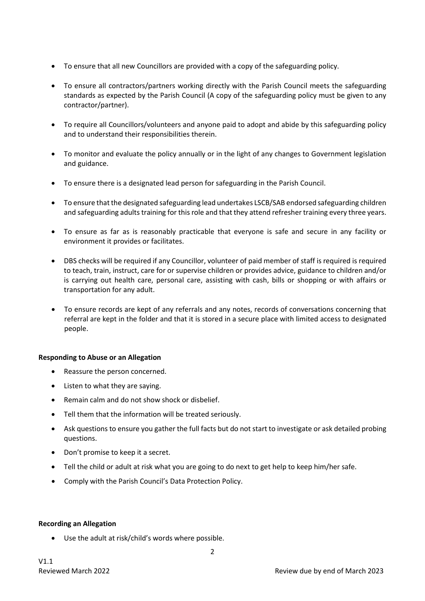- To ensure that all new Councillors are provided with a copy of the safeguarding policy.
- To ensure all contractors/partners working directly with the Parish Council meets the safeguarding standards as expected by the Parish Council (A copy of the safeguarding policy must be given to any contractor/partner).
- To require all Councillors/volunteers and anyone paid to adopt and abide by this safeguarding policy and to understand their responsibilities therein.
- To monitor and evaluate the policy annually or in the light of any changes to Government legislation and guidance.
- To ensure there is a designated lead person for safeguarding in the Parish Council.
- To ensure that the designated safeguarding lead undertakes LSCB/SAB endorsed safeguarding children and safeguarding adults training for this role and that they attend refresher training every three years.
- To ensure as far as is reasonably practicable that everyone is safe and secure in any facility or environment it provides or facilitates.
- DBS checks will be required if any Councillor, volunteer of paid member of staff is required is required to teach, train, instruct, care for or supervise children or provides advice, guidance to children and/or is carrying out health care, personal care, assisting with cash, bills or shopping or with affairs or transportation for any adult.
- To ensure records are kept of any referrals and any notes, records of conversations concerning that referral are kept in the folder and that it is stored in a secure place with limited access to designated people.

#### **Responding to Abuse or an Allegation**

- Reassure the person concerned.
- Listen to what they are saying.
- Remain calm and do not show shock or disbelief.
- Tell them that the information will be treated seriously.
- Ask questions to ensure you gather the full facts but do not start to investigate or ask detailed probing questions.
- Don't promise to keep it a secret.
- Tell the child or adult at risk what you are going to do next to get help to keep him/her safe.
- Comply with the Parish Council's Data Protection Policy.

#### **Recording an Allegation**

• Use the adult at risk/child's words where possible.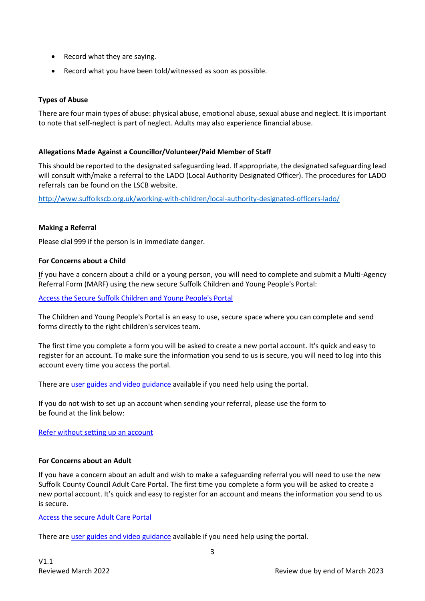- Record what they are saying.
- Record what you have been told/witnessed as soon as possible.

# **Types of Abuse**

There are four main types of abuse: physical abuse, emotional abuse, sexual abuse and neglect. It is important to note that self-neglect is part of neglect. Adults may also experience financial abuse.

# **Allegations Made Against a Councillor/Volunteer/Paid Member of Staff**

This should be reported to the designated safeguarding lead. If appropriate, the designated safeguarding lead will consult with/make a referral to the LADO (Local Authority Designated Officer). The procedures for LADO referrals can be found on the LSCB website.

<http://www.suffolkscb.org.uk/working-with-children/local-authority-designated-officers-lado/>

#### **Making a Referral**

Please dial 999 if the person is in immediate danger.

#### **For Concerns about a Child**

**I**f you have a concern about a child or a young person, you will need to complete and submit a Multi-Agency Referral Form (MARF) using the new secure Suffolk Children and Young People's Portal:

[Access the Secure Suffolk Children and Young People's Portal](https://earlyhelpportal.suffolk.gov.uk/web/portal/pages/marf)

The Children and Young People's Portal is an easy to use, secure space where you can complete and send forms directly to the right children's services team.

The first time you complete a form you will be asked to create a new portal account. It's quick and easy to register for an account. To make sure the information you send to us is secure, you will need to log into this account every time you access the portal.

There ar[e user guides and video guidance](https://www.suffolk.gov.uk/children-families-and-learning/children-and-young-peoples-portal/) available if you need help using the portal.

If you do not wish to set up an account when sending your referral, please use the form to be found at the link below:

[Refer without setting up an account](https://connect.suffolk.gov.uk/childsafeguarding/)

#### **For Concerns about an Adult**

If you have a concern about an adult and wish to make a safeguarding referral you will need to use the new Suffolk County Council Adult Care Portal. The first time you complete a form you will be asked to create a new portal account. It's quick and easy to register for an account and means the information you send to us is secure.

[Access the secure Adult Care Portal](https://www.suffolk.gov.uk/care-and-support-for-adults/how-social-care-can-help/suffolk-adult-care-portal/)

There ar[e user guides and video guidance](https://www.suffolk.gov.uk/children-families-and-learning/children-and-young-peoples-portal/) available if you need help using the portal.